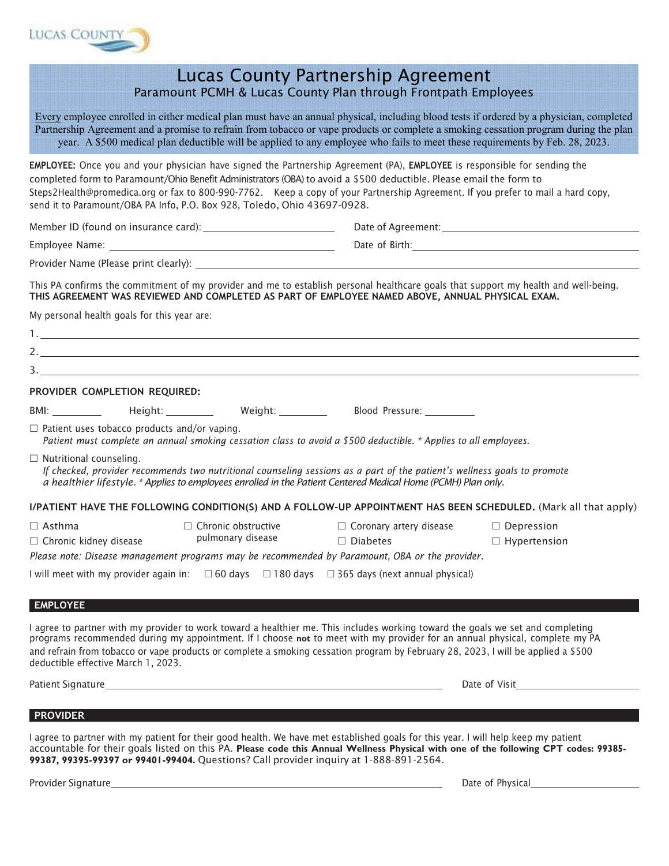

|                                                     | Paramount PCMH & Lucas County Plan through Frontpath Employees                                                                                                                                                                                                                                                                                                                                                                                                   | <b>Lucas County Partnership Agreement</b>         |                                                                                                                                                                                                                                                                                 |
|-----------------------------------------------------|------------------------------------------------------------------------------------------------------------------------------------------------------------------------------------------------------------------------------------------------------------------------------------------------------------------------------------------------------------------------------------------------------------------------------------------------------------------|---------------------------------------------------|---------------------------------------------------------------------------------------------------------------------------------------------------------------------------------------------------------------------------------------------------------------------------------|
|                                                     | year. A \$500 medical plan deductible will be applied to any employee who fails to meet these requirements by Feb. 28, 2023.                                                                                                                                                                                                                                                                                                                                     |                                                   | Every employee enrolled in either medical plan must have an annual physical, including blood tests if ordered by a physician, completed<br>Partnership Agreement and a promise to refrain from tobacco or vape products or complete a smoking cessation program during the plan |
|                                                     | EMPLOYEE: Once you and your physician have signed the Partnership Agreement (PA), EMPLOYEE is responsible for sending the<br>completed form to Paramount/Ohio Benefit Administrators (OBA) to avoid a \$500 deductible. Please email the form to<br>Steps2Health@promedica.org or fax to 800-990-7762. Keep a copy of your Partnership Agreement. If you prefer to mail a hard copy,<br>send it to Paramount/OBA PA Info, P.O. Box 928, Toledo, Ohio 43697-0928. |                                                   |                                                                                                                                                                                                                                                                                 |
|                                                     |                                                                                                                                                                                                                                                                                                                                                                                                                                                                  |                                                   |                                                                                                                                                                                                                                                                                 |
|                                                     |                                                                                                                                                                                                                                                                                                                                                                                                                                                                  |                                                   |                                                                                                                                                                                                                                                                                 |
|                                                     |                                                                                                                                                                                                                                                                                                                                                                                                                                                                  |                                                   |                                                                                                                                                                                                                                                                                 |
|                                                     | This PA confirms the commitment of my provider and me to establish personal healthcare goals that support my health and well-being.<br>THIS AGREEMENT WAS REVIEWED AND COMPLETED AS PART OF EMPLOYEE NAMED ABOVE, ANNUAL PHYSICAL EXAM.                                                                                                                                                                                                                          |                                                   |                                                                                                                                                                                                                                                                                 |
| My personal health goals for this year are:         |                                                                                                                                                                                                                                                                                                                                                                                                                                                                  |                                                   |                                                                                                                                                                                                                                                                                 |
|                                                     |                                                                                                                                                                                                                                                                                                                                                                                                                                                                  |                                                   |                                                                                                                                                                                                                                                                                 |
|                                                     |                                                                                                                                                                                                                                                                                                                                                                                                                                                                  |                                                   |                                                                                                                                                                                                                                                                                 |
|                                                     |                                                                                                                                                                                                                                                                                                                                                                                                                                                                  |                                                   |                                                                                                                                                                                                                                                                                 |
| PROVIDER COMPLETION REQUIRED:                       |                                                                                                                                                                                                                                                                                                                                                                                                                                                                  |                                                   |                                                                                                                                                                                                                                                                                 |
|                                                     | BMI: ____________  Height: ____________  Weight: ___________  Blood Pressure: __________                                                                                                                                                                                                                                                                                                                                                                         |                                                   |                                                                                                                                                                                                                                                                                 |
| $\Box$ Patient uses tobacco products and/or vaping. | Patient must complete an annual smoking cessation class to avoid a \$500 deductible. * Applies to all employees.                                                                                                                                                                                                                                                                                                                                                 |                                                   |                                                                                                                                                                                                                                                                                 |
| $\Box$ Nutritional counseling.                      | If checked, provider recommends two nutritional counseling sessions as a part of the patient's wellness goals to promote<br>a healthier lifestyle. * Applies to employees enrolled in the Patient Centered Medical Home (PCMH) Plan only.                                                                                                                                                                                                                        |                                                   |                                                                                                                                                                                                                                                                                 |
|                                                     |                                                                                                                                                                                                                                                                                                                                                                                                                                                                  |                                                   | I/PATIENT HAVE THE FOLLOWING CONDITION(S) AND A FOLLOW-UP APPOINTMENT HAS BEEN SCHEDULED. (Mark all that apply)                                                                                                                                                                 |
| $\Box$ Asthma<br>$\Box$ Chronic kidney disease      | $\Box$ Chronic obstructive<br>pulmonary disease<br>Please note: Disease management programs may be recommended by Paramount, OBA or the provider.                                                                                                                                                                                                                                                                                                                | $\Box$ Coronary artery disease<br>$\Box$ Diabetes | $\Box$ Depression<br>$\Box$ Hypertension                                                                                                                                                                                                                                        |
|                                                     | I will meet with my provider again in: $\Box$ 60 days $\Box$ 180 days $\Box$ 365 days (next annual physical)                                                                                                                                                                                                                                                                                                                                                     |                                                   |                                                                                                                                                                                                                                                                                 |
|                                                     |                                                                                                                                                                                                                                                                                                                                                                                                                                                                  |                                                   |                                                                                                                                                                                                                                                                                 |
| <b>EMPLOYEE</b>                                     |                                                                                                                                                                                                                                                                                                                                                                                                                                                                  |                                                   |                                                                                                                                                                                                                                                                                 |
| deductible effective March 1, 2023.                 | I agree to partner with my provider to work toward a healthier me. This includes working toward the goals we set and completing<br>programs recommended during my appointment. If I choose not to meet with my provider for an annual physical, complete my PA<br>and refrain from tobacco or vape products or complete a smoking cessation program by February 28, 2023, I will be applied a \$500                                                              |                                                   |                                                                                                                                                                                                                                                                                 |
|                                                     |                                                                                                                                                                                                                                                                                                                                                                                                                                                                  |                                                   | Date of Visit                                                                                                                                                                                                                                                                   |
|                                                     |                                                                                                                                                                                                                                                                                                                                                                                                                                                                  |                                                   |                                                                                                                                                                                                                                                                                 |
| <b>PROVIDER</b>                                     |                                                                                                                                                                                                                                                                                                                                                                                                                                                                  |                                                   |                                                                                                                                                                                                                                                                                 |

I agree to partner with my patient for their good health. We have met established goals for this year. I will help keep my patient *accountable for their goals listed on this PA.* **Please code this Annual Wellness Physical with one of the following CPT codes: 99385- 99387, 99395-99397 or 99401-99404.** *Questions? Call provider inquiry at 1-888-891-2564.*

Provider Signature **Date of Physical Community Community Community Community Community Community Community Community Community Community Community Community Community Community Community Community Community Community Commu**